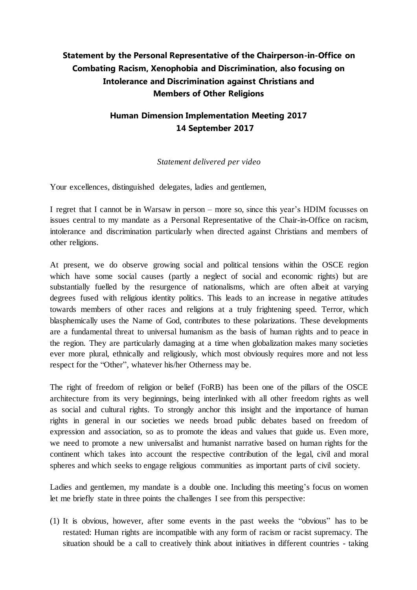## **Statement by the Personal Representative of the Chairperson-in-Office on Combating Racism, Xenophobia and Discrimination, also focusing on Intolerance and Discrimination against Christians and Members of Other Religions**

## **Human Dimension Implementation Meeting 2017 14 September 2017**

## *Statement delivered per video*

Your excellences, distinguished delegates, ladies and gentlemen,

I regret that I cannot be in Warsaw in person – more so, since this year's HDIM focusses on issues central to my mandate as a Personal Representative of the Chair-in-Office on racism, intolerance and discrimination particularly when directed against Christians and members of other religions.

At present, we do observe growing social and political tensions within the OSCE region which have some social causes (partly a neglect of social and economic rights) but are substantially fuelled by the resurgence of nationalisms, which are often albeit at varying degrees fused with religious identity politics. This leads to an increase in negative attitudes towards members of other races and religions at a truly frightening speed. Terror, which blasphemically uses the Name of God, contributes to these polarizations. These developments are a fundamental threat to universal humanism as the basis of human rights and to peace in the region. They are particularly damaging at a time when globalization makes many societies ever more plural, ethnically and religiously, which most obviously requires more and not less respect for the "Other", whatever his/her Otherness may be.

The right of freedom of religion or belief (FoRB) has been one of the pillars of the OSCE architecture from its very beginnings, being interlinked with all other freedom rights as well as social and cultural rights. To strongly anchor this insight and the importance of human rights in general in our societies we needs broad public debates based on freedom of expression and association, so as to promote the ideas and values that guide us. Even more, we need to promote a new universalist and humanist narrative based on human rights for the continent which takes into account the respective contribution of the legal, civil and moral spheres and which seeks to engage religious communities as important parts of civil society.

Ladies and gentlemen, my mandate is a double one. Including this meeting's focus on women let me briefly state in three points the challenges I see from this perspective:

(1) It is obvious, however, after some events in the past weeks the "obvious" has to be restated: Human rights are incompatible with any form of racism or racist supremacy. The situation should be a call to creatively think about initiatives in different countries - taking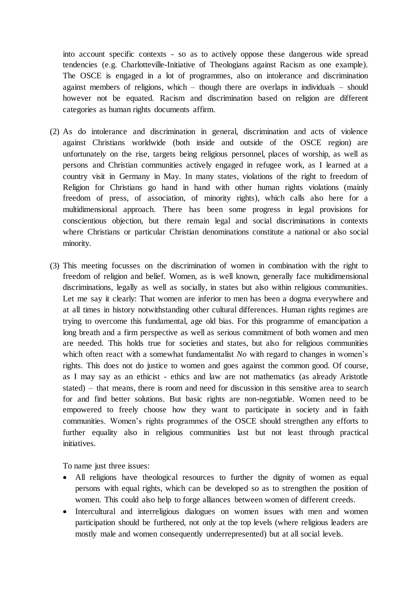into account specific contexts - so as to actively oppose these dangerous wide spread tendencies (e.g. Charlotteville-Initiative of Theologians against Racism as one example). The OSCE is engaged in a lot of programmes, also on intolerance and discrimination against members of religions, which – though there are overlaps in individuals – should however not be equated. Racism and discrimination based on religion are different categories as human rights documents affirm.

- (2) As do intolerance and discrimination in general, discrimination and acts of violence against Christians worldwide (both inside and outside of the OSCE region) are unfortunately on the rise, targets being religious personnel, places of worship, as well as persons and Christian communities actively engaged in refugee work, as I learned at a country visit in Germany in May. In many states, violations of the right to freedom of Religion for Christians go hand in hand with other human rights violations (mainly freedom of press, of association, of minority rights), which calls also here for a multidimensional approach. There has been some progress in legal provisions for conscientious objection, but there remain legal and social discriminations in contexts where Christians or particular Christian denominations constitute a national or also social minority.
- (3) This meeting focusses on the discrimination of women in combination with the right to freedom of religion and belief. Women, as is well known, generally face multidimensional discriminations, legally as well as socially, in states but also within religious communities. Let me say it clearly: That women are inferior to men has been a dogma everywhere and at all times in history notwithstanding other cultural differences. Human rights regimes are trying to overcome this fundamental, age old bias. For this programme of emancipation a long breath and a firm perspective as well as serious commitment of both women and men are needed. This holds true for societies and states, but also for religious communities which often react with a somewhat fundamentalist *No* with regard to changes in women's rights. This does not do justice to women and goes against the common good. Of course, as I may say as an ethicist - ethics and law are not mathematics (as already Aristotle stated) – that means, there is room and need for discussion in this sensitive area to search for and find better solutions. But basic rights are non-negotiable. Women need to be empowered to freely choose how they want to participate in society and in faith communities. Women's rights programmes of the OSCE should strengthen any efforts to further equality also in religious communities last but not least through practical initiatives.

To name just three issues:

- All religions have theological resources to further the dignity of women as equal persons with equal rights, which can be developed so as to strengthen the position of women. This could also help to forge alliances between women of different creeds.
- Intercultural and interreligious dialogues on women issues with men and women participation should be furthered, not only at the top levels (where religious leaders are mostly male and women consequently underrepresented) but at all social levels.